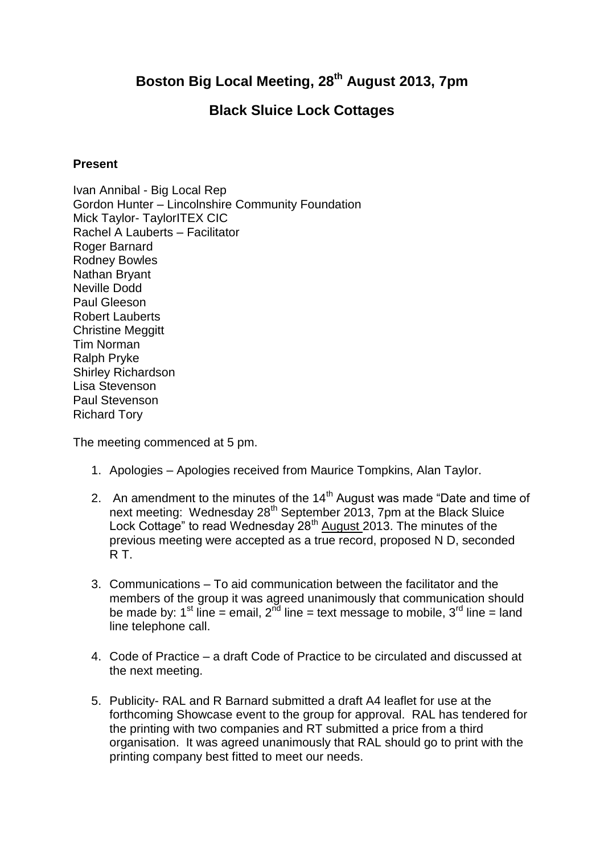## **Boston Big Local Meeting, 28th August 2013, 7pm**

## **Black Sluice Lock Cottages**

## **Present**

Ivan Annibal - Big Local Rep Gordon Hunter – Lincolnshire Community Foundation Mick Taylor- TaylorITEX CIC Rachel A Lauberts – Facilitator Roger Barnard Rodney Bowles Nathan Bryant Neville Dodd Paul Gleeson Robert Lauberts Christine Meggitt Tim Norman Ralph Pryke Shirley Richardson Lisa Stevenson Paul Stevenson Richard Tory

The meeting commenced at 5 pm.

- 1. Apologies Apologies received from Maurice Tompkins, Alan Taylor.
- 2. An amendment to the minutes of the  $14<sup>th</sup>$  August was made "Date and time of next meeting: Wednesday 28<sup>th</sup> September 2013, 7pm at the Black Sluice Lock Cottage" to read Wednesday 28<sup>th</sup> August 2013. The minutes of the previous meeting were accepted as a true record, proposed N D, seconded R T.
- 3. Communications To aid communication between the facilitator and the members of the group it was agreed unanimously that communication should be made by: 1<sup>st</sup> line = email,  $2^{\overrightarrow{nd}}$  line = text message to mobile,  $3^{\overrightarrow{rd}}$  line = land line telephone call.
- 4. Code of Practice a draft Code of Practice to be circulated and discussed at the next meeting.
- 5. Publicity- RAL and R Barnard submitted a draft A4 leaflet for use at the forthcoming Showcase event to the group for approval. RAL has tendered for the printing with two companies and RT submitted a price from a third organisation. It was agreed unanimously that RAL should go to print with the printing company best fitted to meet our needs.